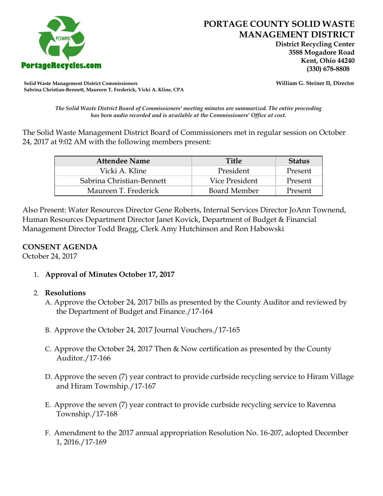

 **District Recycling Center 3588 Mogadore Road Kent, Ohio 44240**

**Solid Waste Management District Commissioners William G. Steiner II, Director Sabrina Christian-Bennett, Maureen T. Frederick, Vicki A. Kline, CPA**

*The Solid Waste District Board of Commissioners' meeting minutes are summarized. The entire proceeding has been audio recorded and is available at the Commissioners' Office at cost.*

The Solid Waste Management District Board of Commissioners met in regular session on October 24, 2017 at 9:02 AM with the following members present:

| <b>Attendee Name</b>      | <b>Title</b>        | <b>Status</b> |
|---------------------------|---------------------|---------------|
| Vicki A. Kline            | President           | Present       |
| Sabrina Christian-Bennett | Vice President      | Present       |
| Maureen T. Frederick      | <b>Board Member</b> | Present       |

Also Present: Water Resources Director Gene Roberts, Internal Services Director JoAnn Townend, Human Resources Department Director Janet Kovick, Department of Budget & Financial Management Director Todd Bragg, Clerk Amy Hutchinson and Ron Habowski

#### **CONSENT AGENDA**

October 24, 2017

1. **Approval of Minutes October 17, 2017**

# 2. **Resolutions**

- A. Approve the October 24, 2017 bills as presented by the County Auditor and reviewed by the Department of Budget and Finance./17-164
- B. Approve the October 24, 2017 Journal Vouchers./17-165
- C. Approve the October 24, 2017 Then & Now certification as presented by the County Auditor./17-166
- D. Approve the seven (7) year contract to provide curbside recycling service to Hiram Village and Hiram Township./17-167
- E. Approve the seven (7) year contract to provide curbside recycling service to Ravenna Township./17-168
- F. Amendment to the 2017 annual appropriation Resolution No. 16-207, adopted December 1, 2016./17-169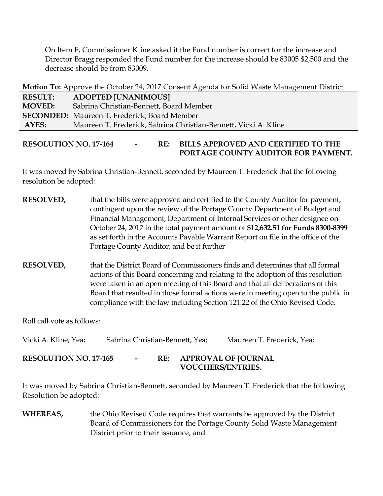On Item F, Commissioner Kline asked if the Fund number is correct for the increase and Director Bragg responded the Fund number for the increase should be 83005 \$2,500 and the decrease should be from 83009.

**Motion To:** Approve the October 24, 2017 Consent Agenda for Solid Waste Management District

| <b>RESULT:</b> | ADOPTED [UNANIMOUS]                                             |
|----------------|-----------------------------------------------------------------|
| <b>MOVED:</b>  | Sabrina Christian-Bennett, Board Member                         |
|                | <b>SECONDED:</b> Maureen T. Frederick, Board Member             |
| AYES:          | Maureen T. Frederick, Sabrina Christian-Bennett, Vicki A. Kline |

### **RESOLUTION NO. 17-164 - RE: BILLS APPROVED AND CERTIFIED TO THE PORTAGE COUNTY AUDITOR FOR PAYMENT.**

It was moved by Sabrina Christian-Bennett, seconded by Maureen T. Frederick that the following resolution be adopted:

- **RESOLVED,** that the bills were approved and certified to the County Auditor for payment, contingent upon the review of the Portage County Department of Budget and Financial Management, Department of Internal Services or other designee on October 24, 2017 in the total payment amount of **\$12,632.51 for Funds 8300-8399**  as set forth in the Accounts Payable Warrant Report on file in the office of the Portage County Auditor; and be it further
- **RESOLVED,** that the District Board of Commissioners finds and determines that all formal actions of this Board concerning and relating to the adoption of this resolution were taken in an open meeting of this Board and that all deliberations of this Board that resulted in those formal actions were in meeting open to the public in compliance with the law including Section 121.22 of the Ohio Revised Code.

Roll call vote as follows:

Vicki A. Kline, Yea; Sabrina Christian-Bennett, Yea; Maureen T. Frederick, Yea;

# **RESOLUTION NO. 17-165 - RE: APPROVAL OF JOURNAL VOUCHERS/ENTRIES.**

It was moved by Sabrina Christian-Bennett, seconded by Maureen T. Frederick that the following Resolution be adopted:

**WHEREAS,** the Ohio Revised Code requires that warrants be approved by the District Board of Commissioners for the Portage County Solid Waste Management District prior to their issuance, and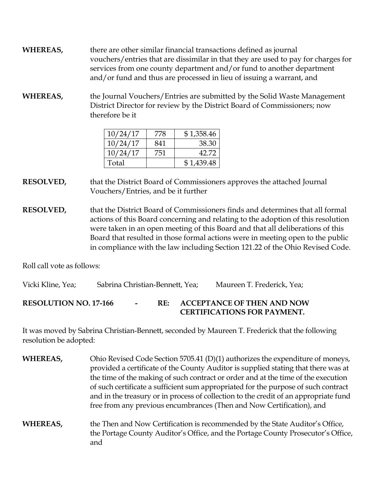- **WHEREAS,** there are other similar financial transactions defined as journal vouchers/entries that are dissimilar in that they are used to pay for charges for services from one county department and/or fund to another department and/or fund and thus are processed in lieu of issuing a warrant, and
- **WHEREAS,** the Journal Vouchers/Entries are submitted by the Solid Waste Management District Director for review by the District Board of Commissioners; now therefore be it

| 10/24/17 | 778 | \$1,358.46 |
|----------|-----|------------|
| 10/24/17 | 841 | 38.30      |
| 10/24/17 | 751 | 42.72      |
| Total    |     | \$1,439.48 |

**RESOLVED,** that the District Board of Commissioners approves the attached Journal Vouchers/Entries, and be it further

**RESOLVED,** that the District Board of Commissioners finds and determines that all formal actions of this Board concerning and relating to the adoption of this resolution were taken in an open meeting of this Board and that all deliberations of this Board that resulted in those formal actions were in meeting open to the public in compliance with the law including Section 121.22 of the Ohio Revised Code.

Roll call vote as follows:

Vicki Kline, Yea; Sabrina Christian-Bennett, Yea; Maureen T. Frederick, Yea;

**RESOLUTION NO. 17-166 - RE: ACCEPTANCE OF THEN AND NOW CERTIFICATIONS FOR PAYMENT.**

It was moved by Sabrina Christian-Bennett, seconded by Maureen T. Frederick that the following resolution be adopted:

- **WHEREAS,** Ohio Revised Code Section 5705.41 (D)(1) authorizes the expenditure of moneys, provided a certificate of the County Auditor is supplied stating that there was at the time of the making of such contract or order and at the time of the execution of such certificate a sufficient sum appropriated for the purpose of such contract and in the treasury or in process of collection to the credit of an appropriate fund free from any previous encumbrances (Then and Now Certification), and
- **WHEREAS,** the Then and Now Certification is recommended by the State Auditor's Office, the Portage County Auditor's Office, and the Portage County Prosecutor's Office, and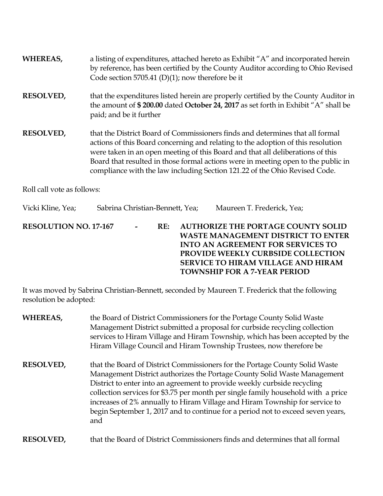| WHEREAS,                     | a listing of expenditures, attached hereto as Exhibit "A" and incorporated herein<br>by reference, has been certified by the County Auditor according to Ohio Revised<br>Code section 5705.41 (D)(1); now therefore be it                                                                                                                                                                                              |  |
|------------------------------|------------------------------------------------------------------------------------------------------------------------------------------------------------------------------------------------------------------------------------------------------------------------------------------------------------------------------------------------------------------------------------------------------------------------|--|
| <b>RESOLVED,</b>             | that the expenditures listed herein are properly certified by the County Auditor in<br>the amount of \$200.00 dated October 24, 2017 as set forth in Exhibit "A" shall be<br>paid; and be it further                                                                                                                                                                                                                   |  |
| <b>RESOLVED,</b>             | that the District Board of Commissioners finds and determines that all formal<br>actions of this Board concerning and relating to the adoption of this resolution<br>were taken in an open meeting of this Board and that all deliberations of this<br>Board that resulted in those formal actions were in meeting open to the public in<br>compliance with the law including Section 121.22 of the Ohio Revised Code. |  |
| Roll call vote as follows:   |                                                                                                                                                                                                                                                                                                                                                                                                                        |  |
| Vicki Kline, Yea;            | Sabrina Christian-Bennett, Yea;<br>Maureen T. Frederick, Yea;                                                                                                                                                                                                                                                                                                                                                          |  |
| <b>RESOLUTION NO. 17-167</b> | <b>AUTHORIZE THE PORTAGE COUNTY SOLID</b><br>RE:<br><b>WASTE MANAGEMENT DISTRICT TO ENTER</b><br><b>INTO AN AGREEMENT FOR SERVICES TO</b><br>PROVIDE WEEKLY CURBSIDE COLLECTION<br><b>SERVICE TO HIRAM VILLAGE AND HIRAM</b><br><b>TOWNSHIP FOR A 7-YEAR PERIOD</b>                                                                                                                                                    |  |

It was moved by Sabrina Christian-Bennett, seconded by Maureen T. Frederick that the following resolution be adopted:

| WHEREAS,         | the Board of District Commissioners for the Portage County Solid Waste<br>Management District submitted a proposal for curbside recycling collection<br>services to Hiram Village and Hiram Township, which has been accepted by the<br>Hiram Village Council and Hiram Township Trustees, now therefore be                                                                                                                                                                                       |
|------------------|---------------------------------------------------------------------------------------------------------------------------------------------------------------------------------------------------------------------------------------------------------------------------------------------------------------------------------------------------------------------------------------------------------------------------------------------------------------------------------------------------|
| <b>RESOLVED,</b> | that the Board of District Commissioners for the Portage County Solid Waste<br>Management District authorizes the Portage County Solid Waste Management<br>District to enter into an agreement to provide weekly curbside recycling<br>collection services for \$3.75 per month per single family household with a price<br>increases of 2% annually to Hiram Village and Hiram Township for service to<br>begin September 1, 2017 and to continue for a period not to exceed seven years,<br>and |
| <b>RESOLVED.</b> | that the Board of District Commissioners finds and determines that all formal                                                                                                                                                                                                                                                                                                                                                                                                                     |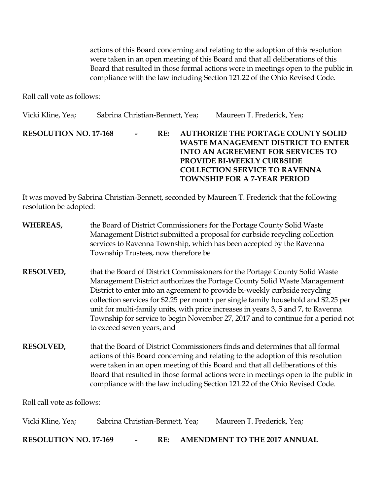actions of this Board concerning and relating to the adoption of this resolution were taken in an open meeting of this Board and that all deliberations of this Board that resulted in those formal actions were in meetings open to the public in compliance with the law including Section 121.22 of the Ohio Revised Code.

Roll call vote as follows:

Vicki Kline, Yea; Sabrina Christian-Bennett, Yea; Maureen T. Frederick, Yea; **RESOLUTION NO. 17-168 - RE: AUTHORIZE THE PORTAGE COUNTY SOLID WASTE MANAGEMENT DISTRICT TO ENTER INTO AN AGREEMENT FOR SERVICES TO PROVIDE BI-WEEKLY CURBSIDE COLLECTION SERVICE TO RAVENNA TOWNSHIP FOR A 7-YEAR PERIOD** 

It was moved by Sabrina Christian-Bennett, seconded by Maureen T. Frederick that the following resolution be adopted:

| WHEREAS,                     | the Board of District Commissioners for the Portage County Solid Waste<br>Management District submitted a proposal for curbside recycling collection<br>services to Ravenna Township, which has been accepted by the Ravenna<br>Township Trustees, now therefore be                                                                                                                                                                                                                                                                  |  |
|------------------------------|--------------------------------------------------------------------------------------------------------------------------------------------------------------------------------------------------------------------------------------------------------------------------------------------------------------------------------------------------------------------------------------------------------------------------------------------------------------------------------------------------------------------------------------|--|
| <b>RESOLVED,</b>             | that the Board of District Commissioners for the Portage County Solid Waste<br>Management District authorizes the Portage County Solid Waste Management<br>District to enter into an agreement to provide bi-weekly curbside recycling<br>collection services for \$2.25 per month per single family household and \$2.25 per<br>unit for multi-family units, with price increases in years 3, 5 and 7, to Ravenna<br>Township for service to begin November 27, 2017 and to continue for a period not<br>to exceed seven years, and |  |
| <b>RESOLVED,</b>             | that the Board of District Commissioners finds and determines that all formal<br>actions of this Board concerning and relating to the adoption of this resolution<br>were taken in an open meeting of this Board and that all deliberations of this<br>Board that resulted in those formal actions were in meetings open to the public in<br>compliance with the law including Section 121.22 of the Ohio Revised Code.                                                                                                              |  |
| Roll call vote as follows:   |                                                                                                                                                                                                                                                                                                                                                                                                                                                                                                                                      |  |
| Vicki Kline, Yea;            | Sabrina Christian-Bennett, Yea;<br>Maureen T. Frederick, Yea;                                                                                                                                                                                                                                                                                                                                                                                                                                                                        |  |
| <b>RESOLUTION NO. 17-169</b> | <b>AMENDMENT TO THE 2017 ANNUAL</b><br>RE:                                                                                                                                                                                                                                                                                                                                                                                                                                                                                           |  |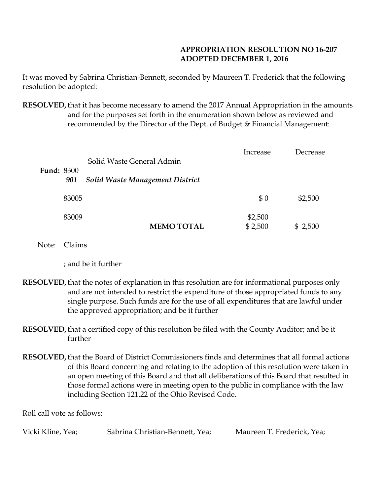# **APPROPRIATION RESOLUTION NO 16-207 ADOPTED DECEMBER 1, 2016**

It was moved by Sabrina Christian-Bennett, seconded by Maureen T. Frederick that the following resolution be adopted:

**RESOLVED,**that it has become necessary to amend the 2017 Annual Appropriation in the amounts and for the purposes set forth in the enumeration shown below as reviewed and recommended by the Director of the Dept. of Budget & Financial Management:

|                          |                                        | Increase | Decrease |
|--------------------------|----------------------------------------|----------|----------|
|                          | Solid Waste General Admin              |          |          |
| <b>Fund: 8300</b><br>901 | <b>Solid Waste Management District</b> |          |          |
| 83005                    |                                        | \$0      | \$2,500  |
| 83009                    |                                        | \$2,500  |          |
|                          | <b>MEMO TOTAL</b>                      | \$2,500  | \$2,500  |

Note: Claims

; and be it further

- **RESOLVED,**that the notes of explanation in this resolution are for informational purposes only and are not intended to restrict the expenditure of those appropriated funds to any single purpose. Such funds are for the use of all expenditures that are lawful under the approved appropriation; and be it further
- **RESOLVED,**that a certified copy of this resolution be filed with the County Auditor; and be it further
- **RESOLVED,**that the Board of District Commissioners finds and determines that all formal actions of this Board concerning and relating to the adoption of this resolution were taken in an open meeting of this Board and that all deliberations of this Board that resulted in those formal actions were in meeting open to the public in compliance with the law including Section 121.22 of the Ohio Revised Code.

Roll call vote as follows:

| Vicki Kline, Yea; | Sabrina Christian-Bennett, Yea; | Maureen T. Frederick, Yea; |
|-------------------|---------------------------------|----------------------------|
|                   |                                 |                            |